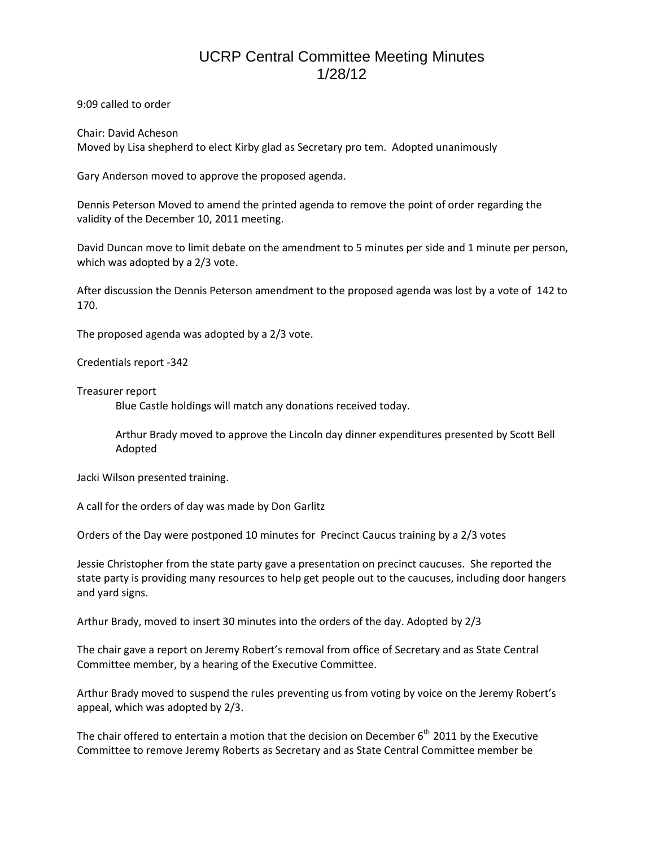## UCRP Central Committee Meeting Minutes 1/28/12

9:09 called to order

Chair: David Acheson Moved by Lisa shepherd to elect Kirby glad as Secretary pro tem. Adopted unanimously

Gary Anderson moved to approve the proposed agenda.

Dennis Peterson Moved to amend the printed agenda to remove the point of order regarding the validity of the December 10, 2011 meeting.

David Duncan move to limit debate on the amendment to 5 minutes per side and 1 minute per person, which was adopted by a 2/3 vote.

After discussion the Dennis Peterson amendment to the proposed agenda was lost by a vote of 142 to 170.

The proposed agenda was adopted by a 2/3 vote.

Credentials report -342

Treasurer report

Blue Castle holdings will match any donations received today.

Arthur Brady moved to approve the Lincoln day dinner expenditures presented by Scott Bell Adopted

Jacki Wilson presented training.

A call for the orders of day was made by Don Garlitz

Orders of the Day were postponed 10 minutes for Precinct Caucus training by a 2/3 votes

Jessie Christopher from the state party gave a presentation on precinct caucuses. She reported the state party is providing many resources to help get people out to the caucuses, including door hangers and yard signs.

Arthur Brady, moved to insert 30 minutes into the orders of the day. Adopted by 2/3

The chair gave a report on Jeremy Robert's removal from office of Secretary and as State Central Committee member, by a hearing of the Executive Committee.

Arthur Brady moved to suspend the rules preventing us from voting by voice on the Jeremy Robert's appeal, which was adopted by 2/3.

The chair offered to entertain a motion that the decision on December  $6<sup>th</sup>$  2011 by the Executive Committee to remove Jeremy Roberts as Secretary and as State Central Committee member be